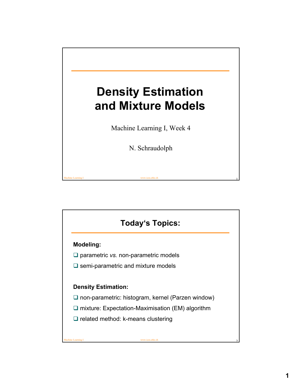

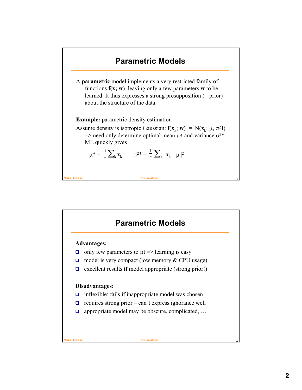

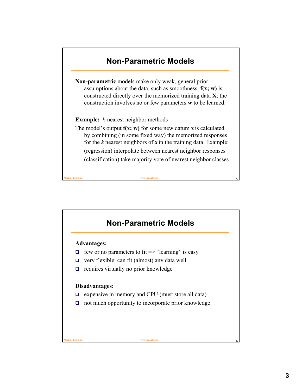# **Non-Parametric Models Non-parametric** models make only weak, general prior assumptions about the data, such as smoothness. **f(x; w)** is constructed directly over the memorized training data **X**; the

**Example:** *k*-nearest neighbor methods

The model's output **f(x; w)** for some new datum **x** is calculated by combining (in some fixed way) the memorized responses for the *k* nearest neighbors of **x** in the training data. Example: (regression) interpolate between nearest neighbor responses (classification) take majority vote of nearest neighbor classes

construction involves no or few parameters **w** to be learned.

## **Non-Parametric Models**

Machine Learning I www.icos.ethz.ch 5

#### **Advantages:**

- $\Box$  few or no parameters to fit => "learning" is easy
- $\Box$  very flexible: can fit (almost) any data well
- $\Box$  requires virtually no prior knowledge

#### **Disadvantages:**

- $\Box$  expensive in memory and CPU (must store all data)
- $\Box$  not much opportunity to incorporate prior knowledge

Machine Learning I www.icos.ethz.ch 6 model www.icos.ethz.ch 6 model www.icos.ethz.ch 6 model www.icos.ethz.ch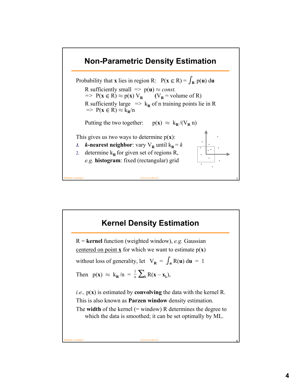### **Non-Parametric Density Estimation**

Probability that **x** lies in region R:  $P(x \in R) = \int_R p(u) \, du$ R sufficiently small  $\Rightarrow$   $p(\mathbf{u}) \approx const.$ <br>  $\Rightarrow$   $P(\mathbf{x} \in R) \approx p(\mathbf{x}) V_R$  ( $V_R$  = volume of R)  $\Rightarrow$   $P(x \in R) \approx p(x) V_R$ R sufficiently large  $\Rightarrow$  k<sub>R</sub> of n training points lie in R  $\Rightarrow$  P(**x**  $\in$  R)  $\approx$  k<sub>R</sub>/n Putting the two together:  $p(x) \approx k_R / (V_R n)$ This gives us two ways to determine  $p(x)$ : *1. k***-nearest neighbor: vary**  $V_R$  **until**  $k_R = k$ 2. determine  $k_R$  for given set of regions R, *e.g.* **histogram**: fixed (rectangular) grid

### **Kernel Density Estimation**

Machine Learning I www.icos.ethz.ch 7

R = **kernel** function (weighted window), *e.g.* Gaussian centered on point **x** for which we want to estimate  $p(x)$ without loss of generality, let  $V_R = \int_u R(u) du = 1$ Then  $p(\mathbf{x}) \approx k_{\mathbf{R}}/n = \frac{1}{n} \sum_{k} R(\mathbf{x} - \mathbf{x}_{k}),$ *i.e.,* p(**x**) is estimated by **convolving** the data with the kernel R. This is also known as **Parzen window** density estimation. The **width** of the kernel (= window) R determines the degree to which the data is smoothed; it can be set optimally by ML. 1

Machine Learning I www.icos.ethz.ch 8 and 2008 and 2008 and 2008 and 2008 and 2008 and 2008 and 2008 and 2008 and 2008 and 2008 and 2008 and 2008 and 2008 and 2008 and 2008 and 2008 and 2008 and 2008 and 2008 and 2008 and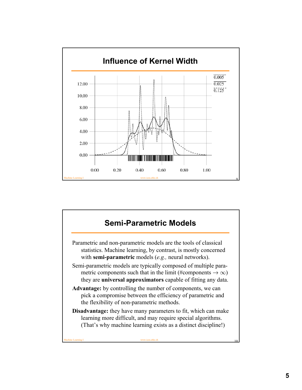

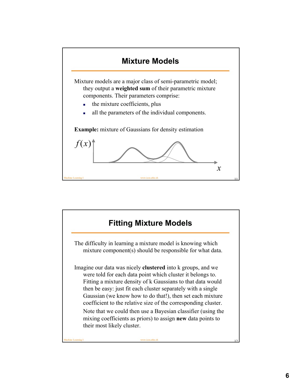

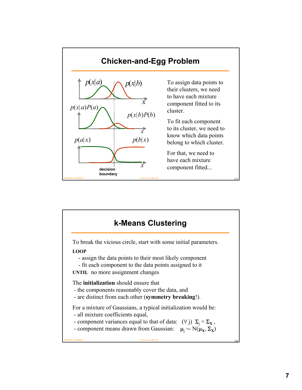

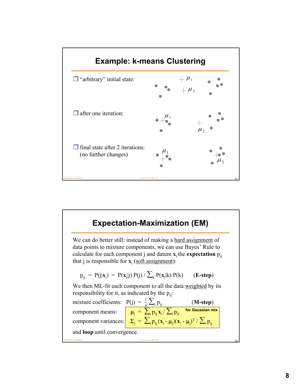